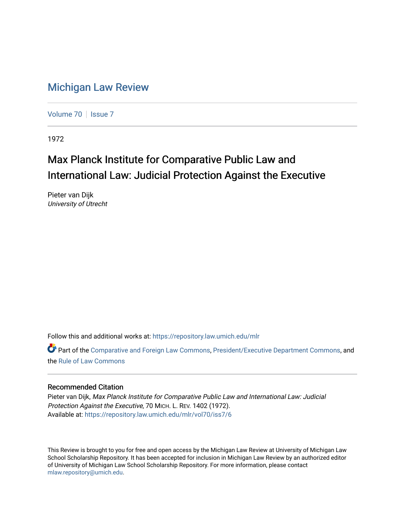## [Michigan Law Review](https://repository.law.umich.edu/mlr)

[Volume 70](https://repository.law.umich.edu/mlr/vol70) | [Issue 7](https://repository.law.umich.edu/mlr/vol70/iss7)

1972

## Max Planck Institute for Comparative Public Law and International Law: Judicial Protection Against the Executive

Pieter van Dijk University of Utrecht

Follow this and additional works at: [https://repository.law.umich.edu/mlr](https://repository.law.umich.edu/mlr?utm_source=repository.law.umich.edu%2Fmlr%2Fvol70%2Fiss7%2F6&utm_medium=PDF&utm_campaign=PDFCoverPages) 

Part of the [Comparative and Foreign Law Commons,](http://network.bepress.com/hgg/discipline/836?utm_source=repository.law.umich.edu%2Fmlr%2Fvol70%2Fiss7%2F6&utm_medium=PDF&utm_campaign=PDFCoverPages) [President/Executive Department Commons,](http://network.bepress.com/hgg/discipline/1118?utm_source=repository.law.umich.edu%2Fmlr%2Fvol70%2Fiss7%2F6&utm_medium=PDF&utm_campaign=PDFCoverPages) and the [Rule of Law Commons](http://network.bepress.com/hgg/discipline/1122?utm_source=repository.law.umich.edu%2Fmlr%2Fvol70%2Fiss7%2F6&utm_medium=PDF&utm_campaign=PDFCoverPages) 

## Recommended Citation

Pieter van Dijk, Max Planck Institute for Comparative Public Law and International Law: Judicial Protection Against the Executive, 70 MICH. L. REV. 1402 (1972). Available at: [https://repository.law.umich.edu/mlr/vol70/iss7/6](https://repository.law.umich.edu/mlr/vol70/iss7/6?utm_source=repository.law.umich.edu%2Fmlr%2Fvol70%2Fiss7%2F6&utm_medium=PDF&utm_campaign=PDFCoverPages)

This Review is brought to you for free and open access by the Michigan Law Review at University of Michigan Law School Scholarship Repository. It has been accepted for inclusion in Michigan Law Review by an authorized editor of University of Michigan Law School Scholarship Repository. For more information, please contact [mlaw.repository@umich.edu.](mailto:mlaw.repository@umich.edu)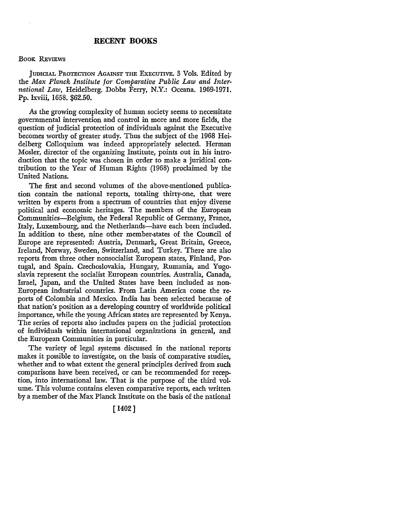## BOOK REVIEWS

JUDICIAL PROTECTION AGAINST THE EXECUTIVE. 3 Vols. Edited by the *Max Planck Institute for Comparative Public Law and International Law,* Heidelberg. Dobbs Ferry, N.Y.: Oceana. 1969-1971. Pp. lxviii, 1658. \$62.50.

As the growing complexity of human society seems to necessitate governmental intervention and control in more and more fields, the question of judicial protection of individuals against the Executive becomes worthy of greater study. Thus the subject of the 1968 Heidelberg Colloquium was indeed appropriately selected. Herman Mosler, director of the organizing Institute, points out in his intro• duction that the topic was chosen in order to make a juridical contribution to the Year of Human Rights (1968) proclaimed by the United Nations.

The first and second volumes of the above-mentioned publication contain the national reports, totaling thirty-one, that were written by experts from a spectrum of countries that enjoy diverse political and economic heritages. The members of the European Communities-Belgium, the Federal Republic of Germany, France, Italy, Luxembourg, and the Netherlands-have each been included. In addition to these, nine other member-states of the Council of Europe are represented: Austria, Denmark, Great Britain, Greece, Ireland, Norway, Sweden, Switzerland, and Turkey. There are also reports from three other nonsocialist European states, Finland, Portugal, and Spain. Czechoslovakia, Hungary, Rumania, and Yugoslavia represent the socialist European countries. Australia, Canada, Israel, Japan, and the United States have been included as non-European industrial countries. From Latin America come the reports of Colombia and Mexico. India has been selected because of that nation's position as a developing country of worldwide political importance, while the young African states are represented by Kenya. The series of reports also includes papers on the judicial protection of individuals within international organizations in general, and the European Communities in particular.

The variety of legal systems discussed in the national reports makes it possible to investigate, on the basis of comparative studies, whether and to what extent the general principles derived from such comparisons have been received, or can be recommended for reception, into international law. That is the purpose of the third volume. This volume contains eleven comparative reports, each written by a member of the Max Planck Institute on the basis of the national

[ 1402]